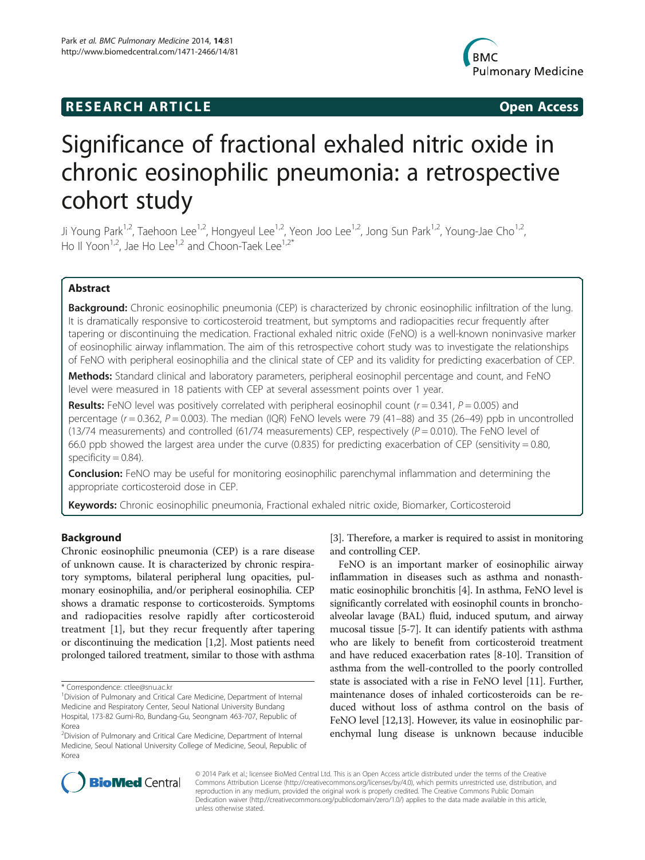# **RESEARCH ARTICLE Example 2014 CONSIDERING CONSIDERING CONSIDERING CONSIDERING CONSIDERING CONSIDERING CONSIDERING CONSIDERING CONSIDERING CONSIDERING CONSIDERING CONSIDERING CONSIDERING CONSIDERING CONSIDERING CONSIDE**



# Significance of fractional exhaled nitric oxide in chronic eosinophilic pneumonia: a retrospective cohort study

Ji Young Park<sup>1,2</sup>, Taehoon Lee<sup>1,2</sup>, Hongyeul Lee<sup>1,2</sup>, Yeon Joo Lee<sup>1,2</sup>, Jong Sun Park<sup>1,2</sup>, Young-Jae Cho<sup>1,2</sup>, Ho II Yoon<sup>1,2</sup>, Jae Ho Lee<sup>1,2</sup> and Choon-Taek Lee<sup>1,2\*</sup>

# Abstract

**Background:** Chronic eosinophilic pneumonia (CEP) is characterized by chronic eosinophilic infiltration of the lung. It is dramatically responsive to corticosteroid treatment, but symptoms and radiopacities recur frequently after tapering or discontinuing the medication. Fractional exhaled nitric oxide (FeNO) is a well-known noninvasive marker of eosinophilic airway inflammation. The aim of this retrospective cohort study was to investigate the relationships of FeNO with peripheral eosinophilia and the clinical state of CEP and its validity for predicting exacerbation of CEP.

Methods: Standard clinical and laboratory parameters, peripheral eosinophil percentage and count, and FeNO level were measured in 18 patients with CEP at several assessment points over 1 year.

**Results:** FeNO level was positively correlated with peripheral eosinophil count ( $r = 0.341$ ,  $P = 0.005$ ) and percentage  $(r = 0.362, P = 0.003)$ . The median (IQR) FeNO levels were 79 (41–88) and 35 (26–49) ppb in uncontrolled (13/74 measurements) and controlled (61/74 measurements) CEP, respectively ( $P = 0.010$ ). The FeNO level of 66.0 ppb showed the largest area under the curve (0.835) for predicting exacerbation of CEP (sensitivity = 0.80, specificity  $= 0.84$ ).

**Conclusion:** FeNO may be useful for monitoring eosinophilic parenchymal inflammation and determining the appropriate corticosteroid dose in CEP.

Keywords: Chronic eosinophilic pneumonia, Fractional exhaled nitric oxide, Biomarker, Corticosteroid

# Background

Chronic eosinophilic pneumonia (CEP) is a rare disease of unknown cause. It is characterized by chronic respiratory symptoms, bilateral peripheral lung opacities, pulmonary eosinophilia, and/or peripheral eosinophilia. CEP shows a dramatic response to corticosteroids. Symptoms and radiopacities resolve rapidly after corticosteroid treatment [[1](#page-6-0)], but they recur frequently after tapering or discontinuing the medication [[1,2](#page-6-0)]. Most patients need prolonged tailored treatment, similar to those with asthma

[[3\]](#page-6-0). Therefore, a marker is required to assist in monitoring and controlling CEP.

FeNO is an important marker of eosinophilic airway inflammation in diseases such as asthma and nonasthmatic eosinophilic bronchitis [[4](#page-6-0)]. In asthma, FeNO level is significantly correlated with eosinophil counts in bronchoalveolar lavage (BAL) fluid, induced sputum, and airway mucosal tissue [[5-7\]](#page-6-0). It can identify patients with asthma who are likely to benefit from corticosteroid treatment and have reduced exacerbation rates [\[8-10](#page-6-0)]. Transition of asthma from the well-controlled to the poorly controlled state is associated with a rise in FeNO level [\[11\]](#page-6-0). Further, maintenance doses of inhaled corticosteroids can be reduced without loss of asthma control on the basis of FeNO level [[12,13](#page-6-0)]. However, its value in eosinophilic parenchymal lung disease is unknown because inducible



© 2014 Park et al.; licensee BioMed Central Ltd. This is an Open Access article distributed under the terms of the Creative Commons Attribution License [\(http://creativecommons.org/licenses/by/4.0\)](http://creativecommons.org/licenses/by/4.0), which permits unrestricted use, distribution, and reproduction in any medium, provided the original work is properly credited. The Creative Commons Public Domain Dedication waiver [\(http://creativecommons.org/publicdomain/zero/1.0/](http://creativecommons.org/publicdomain/zero/1.0/)) applies to the data made available in this article, unless otherwise stated.

<sup>\*</sup> Correspondence: [ctlee@snu.ac.kr](mailto:ctlee@snu.ac.kr) <sup>1</sup>

<sup>&</sup>lt;sup>1</sup> Division of Pulmonary and Critical Care Medicine, Department of Internal Medicine and Respiratory Center, Seoul National University Bundang Hospital, 173-82 Gumi-Ro, Bundang-Gu, Seongnam 463-707, Republic of Korea

<sup>&</sup>lt;sup>2</sup> Division of Pulmonary and Critical Care Medicine, Department of Internal Medicine, Seoul National University College of Medicine, Seoul, Republic of Korea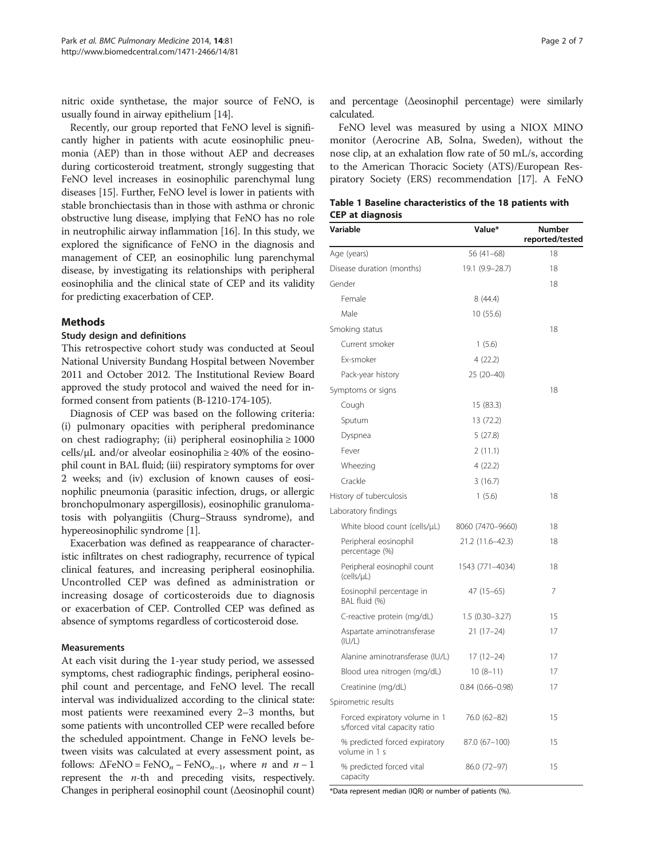<span id="page-1-0"></span>nitric oxide synthetase, the major source of FeNO, is usually found in airway epithelium [\[14](#page-6-0)].

Recently, our group reported that FeNO level is significantly higher in patients with acute eosinophilic pneumonia (AEP) than in those without AEP and decreases during corticosteroid treatment, strongly suggesting that FeNO level increases in eosinophilic parenchymal lung diseases [\[15\]](#page-6-0). Further, FeNO level is lower in patients with stable bronchiectasis than in those with asthma or chronic obstructive lung disease, implying that FeNO has no role in neutrophilic airway inflammation [[16\]](#page-6-0). In this study, we explored the significance of FeNO in the diagnosis and management of CEP, an eosinophilic lung parenchymal disease, by investigating its relationships with peripheral eosinophilia and the clinical state of CEP and its validity for predicting exacerbation of CEP.

# **Methods**

#### Study design and definitions

This retrospective cohort study was conducted at Seoul National University Bundang Hospital between November 2011 and October 2012. The Institutional Review Board approved the study protocol and waived the need for informed consent from patients (B-1210-174-105).

Diagnosis of CEP was based on the following criteria: (i) pulmonary opacities with peripheral predominance on chest radiography; (ii) peripheral eosinophilia ≥ 1000 cells/ $\mu$ L and/or alveolar eosinophilia ≥ 40% of the eosinophil count in BAL fluid; (iii) respiratory symptoms for over 2 weeks; and (iv) exclusion of known causes of eosinophilic pneumonia (parasitic infection, drugs, or allergic bronchopulmonary aspergillosis), eosinophilic granulomatosis with polyangiitis (Churg–Strauss syndrome), and hypereosinophilic syndrome [\[1\]](#page-6-0).

Exacerbation was defined as reappearance of characteristic infiltrates on chest radiography, recurrence of typical clinical features, and increasing peripheral eosinophilia. Uncontrolled CEP was defined as administration or increasing dosage of corticosteroids due to diagnosis or exacerbation of CEP. Controlled CEP was defined as absence of symptoms regardless of corticosteroid dose.

#### Measurements

At each visit during the 1-year study period, we assessed symptoms, chest radiographic findings, peripheral eosinophil count and percentage, and FeNO level. The recall interval was individualized according to the clinical state: most patients were reexamined every 2–3 months, but some patients with uncontrolled CEP were recalled before the scheduled appointment. Change in FeNO levels between visits was calculated at every assessment point, as follows:  $\Delta \text{FeNO} = \text{FeNO}_n - \text{FeNO}_{n-1}$ , where *n* and *n* – 1 represent the  $n$ -th and preceding visits, respectively. Changes in peripheral eosinophil count (Δeosinophil count)

and percentage (Δeosinophil percentage) were similarly calculated.

FeNO level was measured by using a NIOX MINO monitor (Aerocrine AB, Solna, Sweden), without the nose clip, at an exhalation flow rate of 50 mL/s, according to the American Thoracic Society (ATS)/European Respiratory Society (ERS) recommendation [\[17\]](#page-6-0). A FeNO

|                         | Table 1 Baseline characteristics of the 18 patients with |  |  |
|-------------------------|----------------------------------------------------------|--|--|
| <b>CEP at diagnosis</b> |                                                          |  |  |

| Variable                                                       | Value*              | <b>Number</b><br>reported/tested |
|----------------------------------------------------------------|---------------------|----------------------------------|
| Age (years)                                                    | $56(41-68)$         | 18                               |
| Disease duration (months)                                      | 19.1 (9.9-28.7)     | 18                               |
| Gender                                                         |                     | 18                               |
| Female                                                         | 8 (44.4)            |                                  |
| Male                                                           | 10 (55.6)           |                                  |
| Smoking status                                                 |                     | 18                               |
| Current smoker                                                 | 1(5.6)              |                                  |
| Fx-smoker                                                      | 4 (22.2)            |                                  |
| Pack-year history                                              | 25 (20-40)          |                                  |
| Symptoms or signs                                              |                     | 18                               |
| Cough                                                          | 15 (83.3)           |                                  |
| Sputum                                                         | 13 (72.2)           |                                  |
| Dyspnea                                                        | 5(27.8)             |                                  |
| Fever                                                          | 2(11.1)             |                                  |
| Wheezing                                                       | 4(22.2)             |                                  |
| Crackle                                                        | 3(16.7)             |                                  |
| History of tuberculosis                                        | 1(5.6)              | 18                               |
| Laboratory findings                                            |                     |                                  |
| White blood count (cells/µL)                                   | 8060 (7470-9660)    | 18                               |
| Peripheral eosinophil<br>percentage (%)                        | 21.2 (11.6-42.3)    | 18                               |
| Peripheral eosinophil count<br>(cells/uL)                      | 1543 (771-4034)     | 18                               |
| Eosinophil percentage in<br>BAL fluid (%)                      | $47(15-65)$         | 7                                |
| C-reactive protein (mg/dL)                                     | $1.5(0.30 - 3.27)$  | 15                               |
| Aspartate aminotransferase<br>(IU/L)                           | $21(17-24)$         | 17                               |
| Alanine aminotransferase (IU/L)                                | $17(12-24)$         | 17                               |
| Blood urea nitrogen (mg/dL)                                    | $10(8-11)$          | 17                               |
| Creatinine (mg/dL)                                             | $0.84(0.66 - 0.98)$ | 17                               |
| Spirometric results                                            |                     |                                  |
| Forced expiratory volume in 1<br>s/forced vital capacity ratio | 76.0 (62-82)        | 15                               |
| % predicted forced expiratory<br>volume in 1 s                 | 87.0 (67-100)       | 15                               |
| % predicted forced vital<br>capacity                           | 86.0 (72-97)        | 15                               |

\*Data represent median (IQR) or number of patients (%).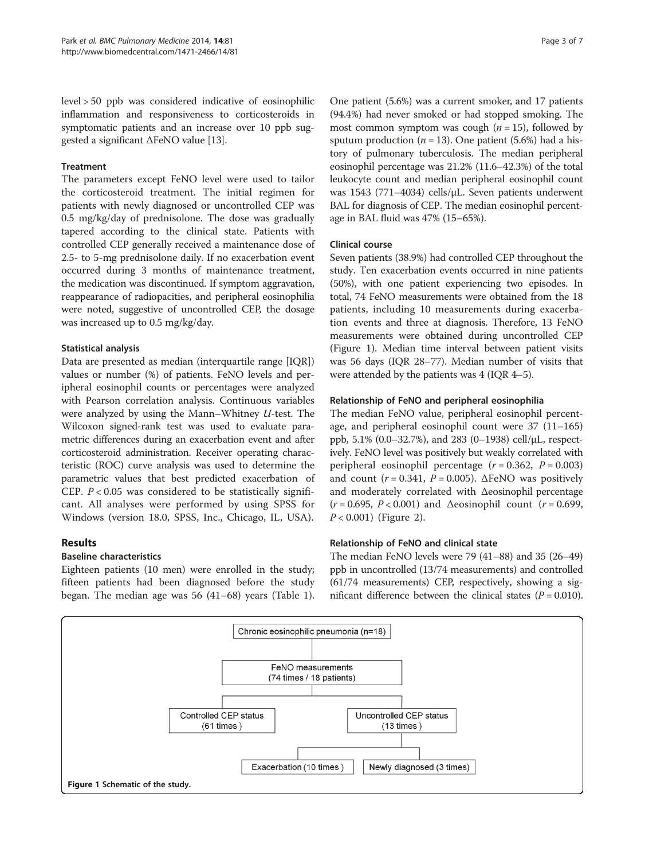level > 50 ppb was considered indicative of eosinophilic inflammation and responsiveness to corticosteroids in symptomatic patients and an increase over 10 ppb suggested a significant ΔFeNO value [[13](#page-6-0)].

#### **Treatment**

The parameters except FeNO level were used to tailor the corticosteroid treatment. The initial regimen for patients with newly diagnosed or uncontrolled CEP was 0.5 mg/kg/day of prednisolone. The dose was gradually tapered according to the clinical state. Patients with controlled CEP generally received a maintenance dose of 2.5- to 5-mg prednisolone daily. If no exacerbation event occurred during 3 months of maintenance treatment, the medication was discontinued. If symptom aggravation, reappearance of radiopacities, and peripheral eosinophilia were noted, suggestive of uncontrolled CEP, the dosage was increased up to 0.5 mg/kg/day.

# Statistical analysis

Data are presented as median (interquartile range [IQR]) values or number (%) of patients. FeNO levels and peripheral eosinophil counts or percentages were analyzed with Pearson correlation analysis. Continuous variables were analyzed by using the Mann–Whitney U-test. The Wilcoxon signed-rank test was used to evaluate parametric differences during an exacerbation event and after corticosteroid administration. Receiver operating characteristic (ROC) curve analysis was used to determine the parametric values that best predicted exacerbation of CEP.  $P < 0.05$  was considered to be statistically significant. All analyses were performed by using SPSS for Windows (version 18.0, SPSS, Inc., Chicago, IL, USA).

# Results

# Baseline characteristics

Eighteen patients (10 men) were enrolled in the study; fifteen patients had been diagnosed before the study began. The median age was 56 (41–68) years (Table [1](#page-1-0)).

One patient (5.6%) was a current smoker, and 17 patients (94.4%) had never smoked or had stopped smoking. The most common symptom was cough  $(n = 15)$ , followed by sputum production ( $n = 13$ ). One patient (5.6%) had a history of pulmonary tuberculosis. The median peripheral eosinophil percentage was 21.2% (11.6–42.3%) of the total leukocyte count and median peripheral eosinophil count was 1543 (771–4034) cells/μL. Seven patients underwent BAL for diagnosis of CEP. The median eosinophil percentage in BAL fluid was 47% (15–65%).

#### Clinical course

Seven patients (38.9%) had controlled CEP throughout the study. Ten exacerbation events occurred in nine patients (50%), with one patient experiencing two episodes. In total, 74 FeNO measurements were obtained from the 18 patients, including 10 measurements during exacerbation events and three at diagnosis. Therefore, 13 FeNO measurements were obtained during uncontrolled CEP (Figure 1). Median time interval between patient visits was 56 days (IQR 28–77). Median number of visits that were attended by the patients was 4 (IQR 4–5).

#### Relationship of FeNO and peripheral eosinophilia

The median FeNO value, peripheral eosinophil percentage, and peripheral eosinophil count were 37 (11–165) ppb, 5.1% (0.0–32.7%), and 283 (0–1938) cell/μL, respectively. FeNO level was positively but weakly correlated with peripheral eosinophil percentage  $(r = 0.362, P = 0.003)$ and count  $(r = 0.341, P = 0.005)$ .  $\triangle$ FeNO was positively and moderately correlated with Δeosinophil percentage  $(r = 0.695, P < 0.001)$  and  $\Delta$ eosinophil count  $(r = 0.699, P < 0.001)$  $P < 0.001$ ) (Figure [2\)](#page-3-0).

# Relationship of FeNO and clinical state

The median FeNO levels were 79 (41–88) and 35 (26–49) ppb in uncontrolled (13/74 measurements) and controlled (61/74 measurements) CEP, respectively, showing a significant difference between the clinical states  $(P = 0.010)$ .

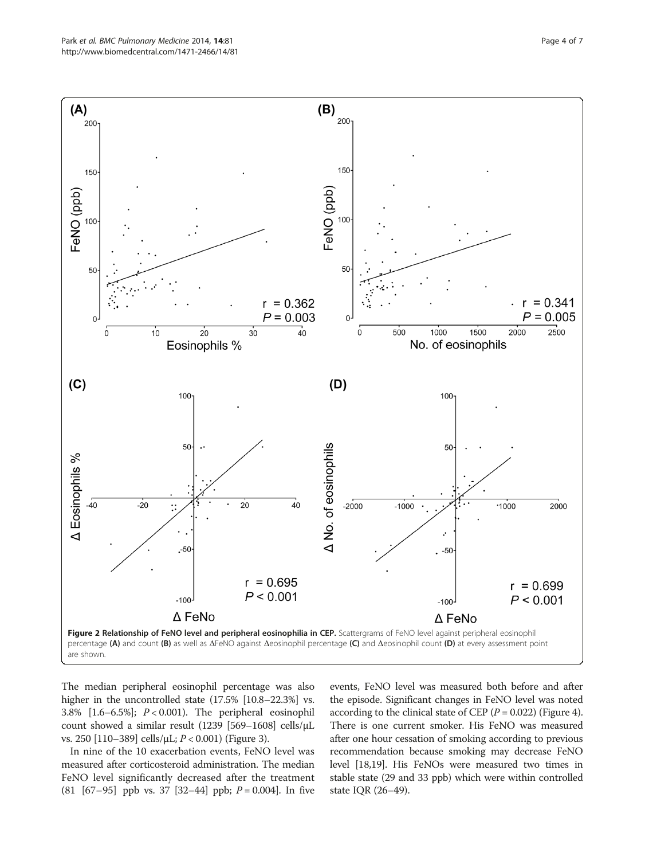<span id="page-3-0"></span>

The median peripheral eosinophil percentage was also higher in the uncontrolled state (17.5% [10.8–22.3%] vs. 3.8% [1.6–6.5%]; P < 0.001). The peripheral eosinophil count showed a similar result (1239 [569–1608] cells/μL vs. 250 [110–389] cells/μL; P < 0.001) (Figure [3\)](#page-4-0).

In nine of the 10 exacerbation events, FeNO level was measured after corticosteroid administration. The median FeNO level significantly decreased after the treatment  $(81 [67-95]$  ppb vs. 37 [32-44] ppb;  $P = 0.004$ ]. In five

events, FeNO level was measured both before and after the episode. Significant changes in FeNO level was noted according to the clinical state of CEP ( $P = 0.022$ ) (Figure [4](#page-4-0)). There is one current smoker. His FeNO was measured after one hour cessation of smoking according to previous recommendation because smoking may decrease FeNO level [\[18,19\]](#page-6-0). His FeNOs were measured two times in stable state (29 and 33 ppb) which were within controlled state IQR (26–49).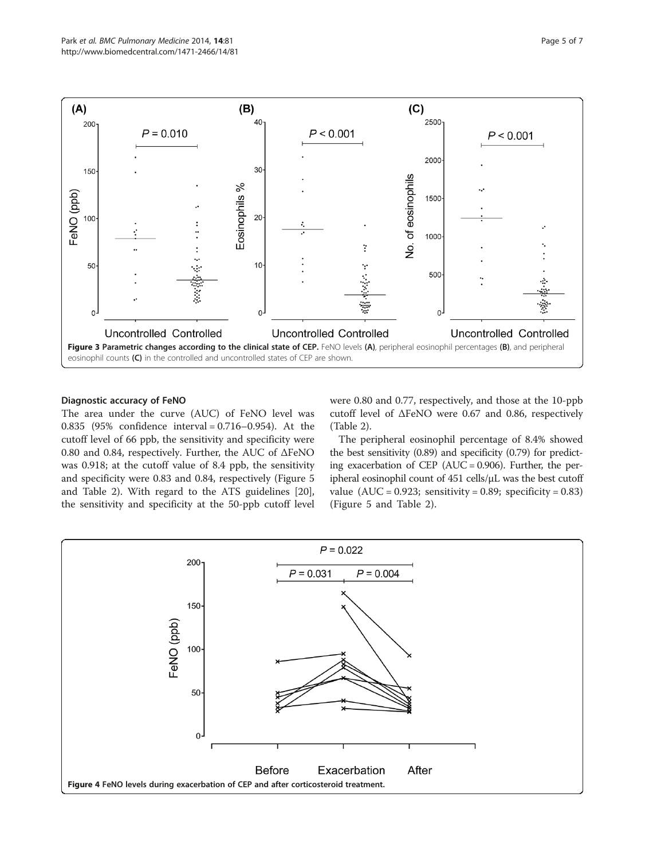<span id="page-4-0"></span>

#### Diagnostic accuracy of FeNO

The area under the curve (AUC) of FeNO level was 0.835 (95% confidence interval = 0.716–0.954). At the cutoff level of 66 ppb, the sensitivity and specificity were 0.80 and 0.84, respectively. Further, the AUC of ΔFeNO was 0.918; at the cutoff value of 8.4 ppb, the sensitivity and specificity were 0.83 and 0.84, respectively (Figure [5](#page-5-0) and Table [2\)](#page-5-0). With regard to the ATS guidelines [\[20](#page-6-0)], the sensitivity and specificity at the 50-ppb cutoff level were 0.80 and 0.77, respectively, and those at the 10-ppb cutoff level of ΔFeNO were 0.67 and 0.86, respectively (Table [2\)](#page-5-0).

The peripheral eosinophil percentage of 8.4% showed the best sensitivity (0.89) and specificity (0.79) for predicting exacerbation of CEP (AUC = 0.906). Further, the peripheral eosinophil count of 451 cells/μL was the best cutoff value  $(AUC = 0.923$ ; sensitivity = 0.89; specificity = 0.83) (Figure [5](#page-5-0) and Table [2\)](#page-5-0).

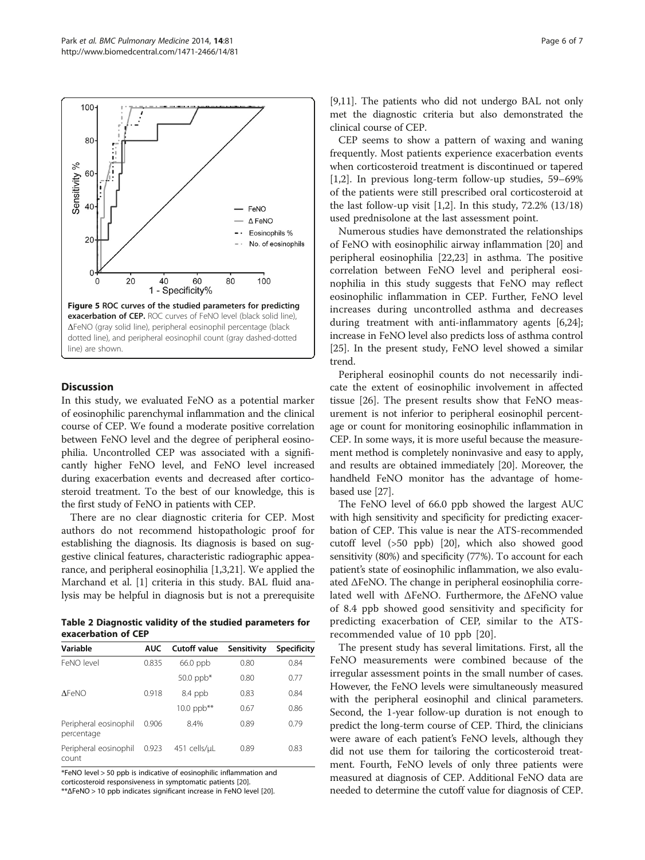<span id="page-5-0"></span>

#### **Discussion**

In this study, we evaluated FeNO as a potential marker of eosinophilic parenchymal inflammation and the clinical course of CEP. We found a moderate positive correlation between FeNO level and the degree of peripheral eosinophilia. Uncontrolled CEP was associated with a significantly higher FeNO level, and FeNO level increased during exacerbation events and decreased after corticosteroid treatment. To the best of our knowledge, this is the first study of FeNO in patients with CEP.

There are no clear diagnostic criteria for CEP. Most authors do not recommend histopathologic proof for establishing the diagnosis. Its diagnosis is based on suggestive clinical features, characteristic radiographic appearance, and peripheral eosinophilia [\[1,3,21](#page-6-0)]. We applied the Marchand et al. [[1](#page-6-0)] criteria in this study. BAL fluid analysis may be helpful in diagnosis but is not a prerequisite

Table 2 Diagnostic validity of the studied parameters for exacerbation of CEP

| Variable                            | <b>AUC</b> | <b>Cutoff value</b>     | Sensitivity | Specificity |
|-------------------------------------|------------|-------------------------|-------------|-------------|
| FeNO level                          | 0.835      | 66.0 ppb                | 0.80        | 0.84        |
|                                     |            | $50.0$ ppb <sup>*</sup> | 0.80        | 0.77        |
| <b>AFeNO</b>                        | 0.918      | 8.4 ppb                 | 0.83        | 0.84        |
|                                     |            | 10.0 $ppb***$           | 0.67        | 0.86        |
| Peripheral eosinophil<br>percentage | 0.906      | 8.4%                    | 0.89        | 0.79        |
| Peripheral eosinophil<br>count      | 0.923      | 451 cells/uL            | 0.89        | 0.83        |

\*FeNO level > 50 ppb is indicative of eosinophilic inflammation and corticosteroid responsiveness in symptomatic patients [[20](#page-6-0)].

\*\*ΔFeNO > 10 ppb indicates significant increase in FeNO level [\[20](#page-6-0)].

[[9,11](#page-6-0)]. The patients who did not undergo BAL not only met the diagnostic criteria but also demonstrated the clinical course of CEP.

CEP seems to show a pattern of waxing and waning frequently. Most patients experience exacerbation events when corticosteroid treatment is discontinued or tapered [[1,2\]](#page-6-0). In previous long-term follow-up studies, 59–69% of the patients were still prescribed oral corticosteroid at the last follow-up visit [[1,2\]](#page-6-0). In this study, 72.2% (13/18) used prednisolone at the last assessment point.

Numerous studies have demonstrated the relationships of FeNO with eosinophilic airway inflammation [\[20](#page-6-0)] and peripheral eosinophilia [[22,23\]](#page-6-0) in asthma. The positive correlation between FeNO level and peripheral eosinophilia in this study suggests that FeNO may reflect eosinophilic inflammation in CEP. Further, FeNO level increases during uncontrolled asthma and decreases during treatment with anti-inflammatory agents [[6,24](#page-6-0)]; increase in FeNO level also predicts loss of asthma control [[25](#page-6-0)]. In the present study, FeNO level showed a similar trend.

Peripheral eosinophil counts do not necessarily indicate the extent of eosinophilic involvement in affected tissue [\[26\]](#page-6-0). The present results show that FeNO measurement is not inferior to peripheral eosinophil percentage or count for monitoring eosinophilic inflammation in CEP. In some ways, it is more useful because the measurement method is completely noninvasive and easy to apply, and results are obtained immediately [\[20\]](#page-6-0). Moreover, the handheld FeNO monitor has the advantage of homebased use [[27\]](#page-6-0).

The FeNO level of 66.0 ppb showed the largest AUC with high sensitivity and specificity for predicting exacerbation of CEP. This value is near the ATS-recommended cutoff level (>50 ppb) [[20](#page-6-0)], which also showed good sensitivity (80%) and specificity (77%). To account for each patient's state of eosinophilic inflammation, we also evaluated ΔFeNO. The change in peripheral eosinophilia correlated well with ΔFeNO. Furthermore, the ΔFeNO value of 8.4 ppb showed good sensitivity and specificity for predicting exacerbation of CEP, similar to the ATSrecommended value of 10 ppb [[20\]](#page-6-0).

The present study has several limitations. First, all the FeNO measurements were combined because of the irregular assessment points in the small number of cases. However, the FeNO levels were simultaneously measured with the peripheral eosinophil and clinical parameters. Second, the 1-year follow-up duration is not enough to predict the long-term course of CEP. Third, the clinicians were aware of each patient's FeNO levels, although they did not use them for tailoring the corticosteroid treatment. Fourth, FeNO levels of only three patients were measured at diagnosis of CEP. Additional FeNO data are needed to determine the cutoff value for diagnosis of CEP.